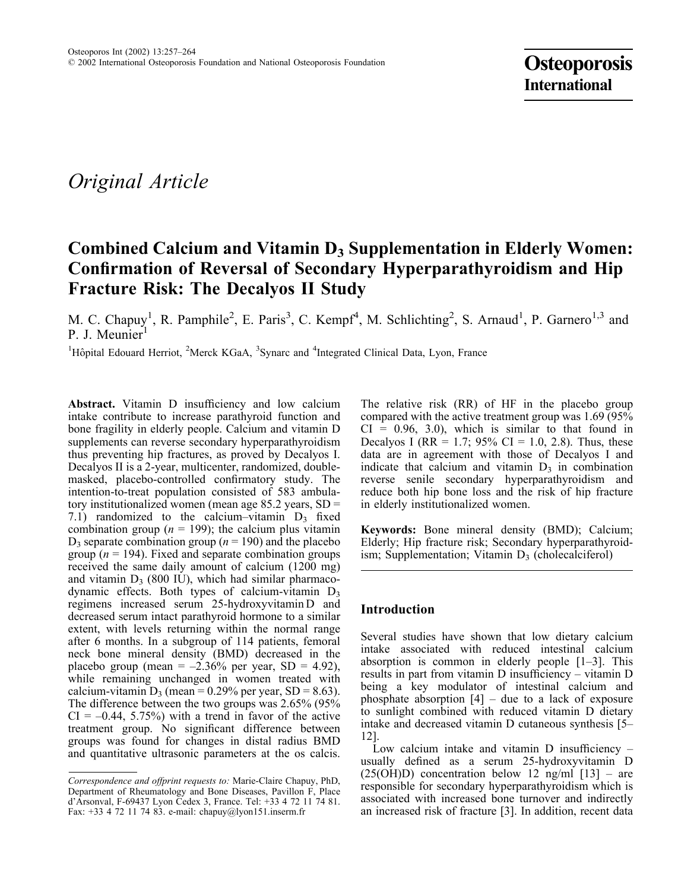# Original Article

# Combined Calcium and Vitamin  $D_3$  Supplementation in Elderly Women: Confirmation of Reversal of Secondary Hyperparathyroidism and Hip Fracture Risk: The Decalyos II Study

M. C. Chapuy<sup>1</sup>, R. Pamphile<sup>2</sup>, E. Paris<sup>3</sup>, C. Kempf<sup>4</sup>, M. Schlichting<sup>2</sup>, S. Arnaud<sup>1</sup>, P. Garnero<sup>1,3</sup> and P. J. Meunier

<sup>1</sup>Hôpital Edouard Herriot, <sup>2</sup>Merck KGaA, <sup>3</sup>Synarc and <sup>4</sup>Integrated Clinical Data, Lyon, France

Abstract. Vitamin D insufficiency and low calcium intake contribute to increase parathyroid function and bone fragility in elderly people. Calcium and vitamin D supplements can reverse secondary hyperparathyroidism thus preventing hip fractures, as proved by Decalyos I. Decalyos II is a 2-year, multicenter, randomized, doublemasked, placebo-controlled confirmatory study. The intention-to-treat population consisted of 583 ambulatory institutionalized women (mean age 85.2 years, SD = 7.1) randomized to the calcium–vitamin  $D_3$  fixed combination group ( $n = 199$ ); the calcium plus vitamin  $D_3$  separate combination group ( $n = 190$ ) and the placebo group ( $n = 194$ ). Fixed and separate combination groups received the same daily amount of calcium (1200 mg) and vitamin  $D_3$  (800 IU), which had similar pharmacodynamic effects. Both types of calcium-vitamin  $D_3$ regimens increased serum 25-hydroxyvitamin D and decreased serum intact parathyroid hormone to a similar extent, with levels returning within the normal range after 6 months. In a subgroup of 114 patients, femoral neck bone mineral density (BMD) decreased in the placebo group (mean =  $-2.36\%$  per year, SD = 4.92), while remaining unchanged in women treated with calcium-vitamin  $D_3$  (mean = 0.29% per year, SD = 8.63). The difference between the two groups was 2.65% (95%  $CI = -0.44, 5.75\%$ ) with a trend in favor of the active treatment group. No significant difference between groups was found for changes in distal radius BMD and quantitative ultrasonic parameters at the os calcis.

The relative risk (RR) of HF in the placebo group compared with the active treatment group was 1.69 (95%  $CI = 0.96, 3.0$ , which is similar to that found in Decalyos I (RR = 1.7; 95% CI = 1.0, 2.8). Thus, these data are in agreement with those of Decalyos I and indicate that calcium and vitamin  $D_3$  in combination reverse senile secondary hyperparathyroidism and reduce both hip bone loss and the risk of hip fracture in elderly institutionalized women.

Keywords: Bone mineral density (BMD); Calcium; Elderly; Hip fracture risk; Secondary hyperparathyroidism; Supplementation; Vitamin  $D_3$  (cholecalciferol)

# Introduction

Several studies have shown that low dietary calcium intake associated with reduced intestinal calcium absorption is common in elderly people [1–3]. This results in part from vitamin D insufficiency – vitamin D being a key modulator of intestinal calcium and phosphate absorption  $[4]$  – due to a lack of exposure to sunlight combined with reduced vitamin D dietary intake and decreased vitamin D cutaneous synthesis [5– 12].

Low calcium intake and vitamin D insufficiency – usually defined as a serum 25-hydroxyvitamin D  $(25(OH)D)$  concentration below 12 ng/ml [13] – are responsible for secondary hyperparathyroidism which is associated with increased bone turnover and indirectly an increased risk of fracture [3]. In addition, recent data

Correspondence and offprint requests to: Marie-Claire Chapuy, PhD, Department of Rheumatology and Bone Diseases, Pavillon F, Place d'Arsonval, F-69437 Lyon Cedex 3, France. Tel: +33 4 72 11 74 81. Fax: +33 4 72 11 74 83. e-mail: chapuy@lyon151.inserm.fr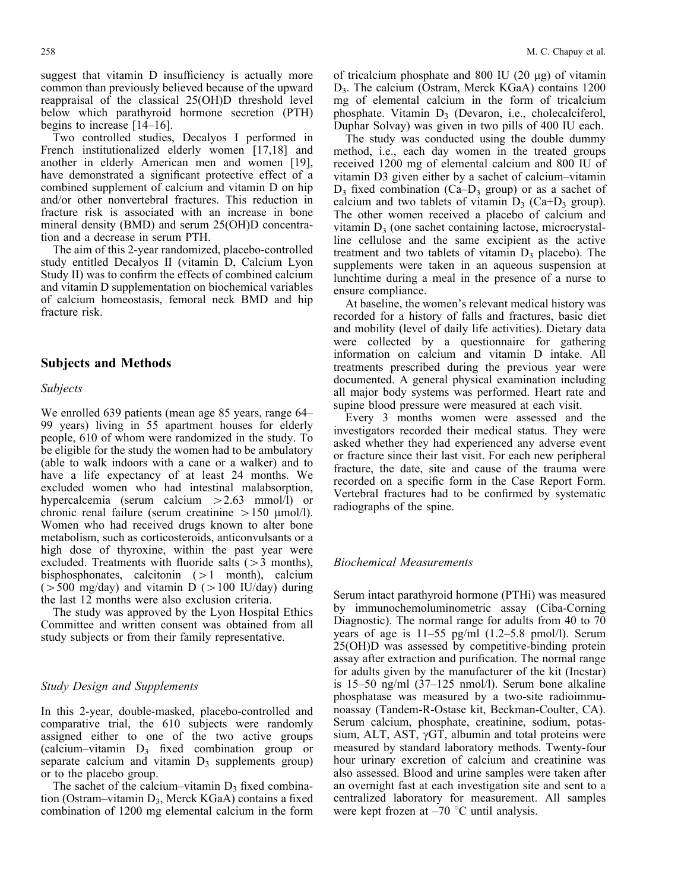suggest that vitamin D insufficiency is actually more common than previously believed because of the upward reappraisal of the classical 25(OH)D threshold level below which parathyroid hormone secretion (PTH) begins to increase [14–16].

Two controlled studies, Decalyos I performed in French institutionalized elderly women [17,18] and another in elderly American men and women [19], have demonstrated a significant protective effect of a combined supplement of calcium and vitamin D on hip and/or other nonvertebral fractures. This reduction in fracture risk is associated with an increase in bone mineral density (BMD) and serum 25(OH)D concentration and a decrease in serum PTH.

The aim of this 2-year randomized, placebo-controlled study entitled Decalyos II (vitamin D, Calcium Lyon Study II) was to confirm the effects of combined calcium and vitamin D supplementation on biochemical variables of calcium homeostasis, femoral neck BMD and hip fracture risk.

## Subjects and Methods

#### Subjects

We enrolled 639 patients (mean age 85 years, range 64– 99 years) living in 55 apartment houses for elderly people, 610 of whom were randomized in the study. To be eligible for the study the women had to be ambulatory (able to walk indoors with a cane or a walker) and to have a life expectancy of at least 24 months. We excluded women who had intestinal malabsorption, hypercalcemia (serum calcium  $>2.63$  mmol $\hat{1}$ ) or chronic renal failure (serum creatinine  $> 150 \text{ \mu}$ mol/l). Women who had received drugs known to alter bone metabolism, such as corticosteroids, anticonvulsants or a high dose of thyroxine, within the past year were excluded. Treatments with fluoride salts  $(>3$  months), bisphosphonates, calcitonin  $(>1$  month), calcium  $(500 \text{ mg/day})$  and vitamin D  $(>100 \text{ IU/day})$  during the last 12 months were also exclusion criteria.

The study was approved by the Lyon Hospital Ethics Committee and written consent was obtained from all study subjects or from their family representative.

#### Study Design and Supplements

In this 2-year, double-masked, placebo-controlled and comparative trial, the 610 subjects were randomly assigned either to one of the two active groups (calcium–vitamin  $D_3$  fixed combination group or separate calcium and vitamin  $D_3$  supplements group) or to the placebo group.

The sachet of the calcium–vitamin  $D_3$  fixed combination (Ostram–vitamin D<sub>3</sub>, Merck KGaA) contains a fixed combination of 1200 mg elemental calcium in the form

of tricalcium phosphate and 800 IU  $(20 \mu g)$  of vitamin D3. The calcium (Ostram, Merck KGaA) contains 1200 mg of elemental calcium in the form of tricalcium phosphate. Vitamin  $D_3$  (Devaron, i.e., cholecalciferol, Duphar Solvay) was given in two pills of 400 IU each.

The study was conducted using the double dummy method, i.e., each day women in the treated groups received 1200 mg of elemental calcium and 800 IU of vitamin D3 given either by a sachet of calcium–vitamin  $D_3$  fixed combination (Ca– $D_3$  group) or as a sachet of calcium and two tablets of vitamin  $D_3$  (Ca+D<sub>3</sub> group). The other women received a placebo of calcium and vitamin  $D_3$  (one sachet containing lactose, microcrystalline cellulose and the same excipient as the active treatment and two tablets of vitamin  $D_3$  placebo). The supplements were taken in an aqueous suspension at lunchtime during a meal in the presence of a nurse to ensure compliance.

At baseline, the women's relevant medical history was recorded for a history of falls and fractures, basic diet and mobility (level of daily life activities). Dietary data were collected by a questionnaire for gathering information on calcium and vitamin D intake. All treatments prescribed during the previous year were documented. A general physical examination including all major body systems was performed. Heart rate and supine blood pressure were measured at each visit.

Every 3 months women were assessed and the investigators recorded their medical status. They were asked whether they had experienced any adverse event or fracture since their last visit. For each new peripheral fracture, the date, site and cause of the trauma were recorded on a specific form in the Case Report Form. Vertebral fractures had to be confirmed by systematic radiographs of the spine.

#### Biochemical Measurements

Serum intact parathyroid hormone (PTHi) was measured by immunochemoluminometric assay (Ciba-Corning Diagnostic). The normal range for adults from 40 to 70 years of age is 11–55 pg/ml (1.2–5.8 pmol/l). Serum 25(OH)D was assessed by competitive-binding protein assay after extraction and purification. The normal range for adults given by the manufacturer of the kit (Incstar) is 15–50 ng/ml (37–125 nmol/l). Serum bone alkaline phosphatase was measured by a two-site radioimmunoassay (Tandem-R-Ostase kit, Beckman-Coulter, CA). Serum calcium, phosphate, creatinine, sodium, potassium, ALT, AST,  $\gamma$ GT, albumin and total proteins were measured by standard laboratory methods. Twenty-four hour urinary excretion of calcium and creatinine was also assessed. Blood and urine samples were taken after an overnight fast at each investigation site and sent to a centralized laboratory for measurement. All samples were kept frozen at  $-70$  °C until analysis.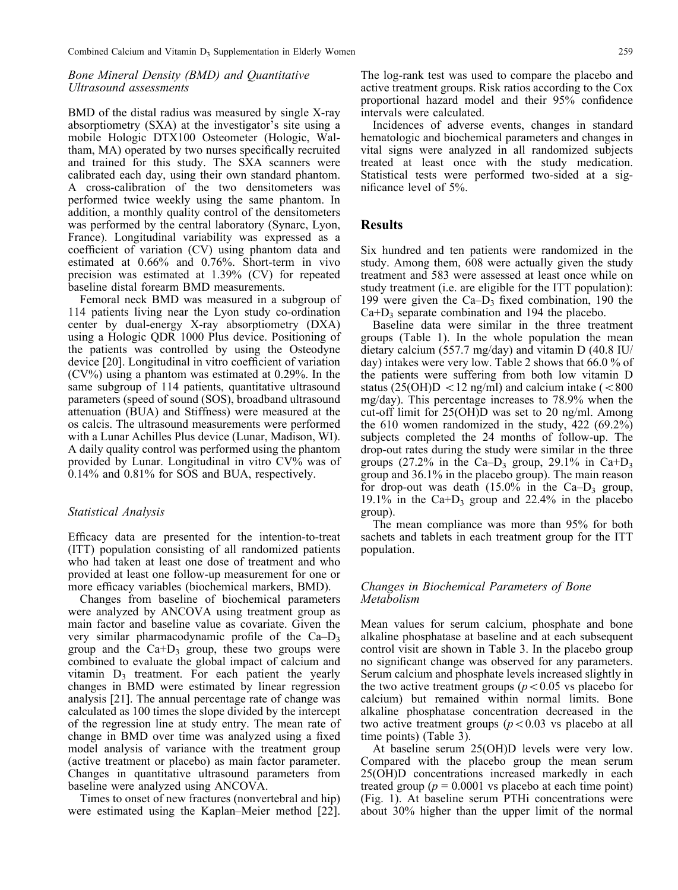#### Bone Mineral Density (BMD) and Quantitative Ultrasound assessments

BMD of the distal radius was measured by single X-ray absorptiometry (SXA) at the investigator's site using a mobile Hologic DTX100 Osteometer (Hologic, Waltham, MA) operated by two nurses specifically recruited and trained for this study. The SXA scanners were calibrated each day, using their own standard phantom. A cross-calibration of the two densitometers was performed twice weekly using the same phantom. In addition, a monthly quality control of the densitometers was performed by the central laboratory (Synarc, Lyon, France). Longitudinal variability was expressed as a coefficient of variation (CV) using phantom data and estimated at 0.66% and 0.76%. Short-term in vivo precision was estimated at 1.39% (CV) for repeated baseline distal forearm BMD measurements.

Femoral neck BMD was measured in a subgroup of 114 patients living near the Lyon study co-ordination center by dual-energy X-ray absorptiometry (DXA) using a Hologic QDR 1000 Plus device. Positioning of the patients was controlled by using the Osteodyne device [20]. Longitudinal in vitro coefficient of variation (CV%) using a phantom was estimated at 0.29%. In the same subgroup of 114 patients, quantitative ultrasound parameters (speed of sound (SOS), broadband ultrasound attenuation (BUA) and Stiffness) were measured at the os calcis. The ultrasound measurements were performed with a Lunar Achilles Plus device (Lunar, Madison, WI). A daily quality control was performed using the phantom provided by Lunar. Longitudinal in vitro CV% was of 0.14% and 0.81% for SOS and BUA, respectively.

#### Statistical Analysis

Efficacy data are presented for the intention-to-treat (ITT) population consisting of all randomized patients who had taken at least one dose of treatment and who provided at least one follow-up measurement for one or more efficacy variables (biochemical markers, BMD).

Changes from baseline of biochemical parameters were analyzed by ANCOVA using treatment group as main factor and baseline value as covariate. Given the very similar pharmacodynamic profile of the  $Ca-D_3$ group and the  $Ca + D_3$  group, these two groups were combined to evaluate the global impact of calcium and vitamin  $D_3$  treatment. For each patient the yearly changes in BMD were estimated by linear regression analysis [21]. The annual percentage rate of change was calculated as 100 times the slope divided by the intercept of the regression line at study entry. The mean rate of change in BMD over time was analyzed using a fixed model analysis of variance with the treatment group (active treatment or placebo) as main factor parameter. Changes in quantitative ultrasound parameters from baseline were analyzed using ANCOVA.

Times to onset of new fractures (nonvertebral and hip) were estimated using the Kaplan–Meier method [22].

The log-rank test was used to compare the placebo and active treatment groups. Risk ratios according to the Cox proportional hazard model and their 95% confidence intervals were calculated.

Incidences of adverse events, changes in standard hematologic and biochemical parameters and changes in vital signs were analyzed in all randomized subjects treated at least once with the study medication. Statistical tests were performed two-sided at a significance level of 5%.

#### Results

Six hundred and ten patients were randomized in the study. Among them, 608 were actually given the study treatment and 583 were assessed at least once while on study treatment (i.e. are eligible for the ITT population): 199 were given the  $Ca-D_3$  fixed combination, 190 the  $Ca + D_3$  separate combination and 194 the placebo.

Baseline data were similar in the three treatment groups (Table 1). In the whole population the mean dietary calcium (557.7 mg/day) and vitamin D (40.8 IU/ day) intakes were very low. Table 2 shows that 66.0 % of the patients were suffering from both low vitamin D status (25(OH)D  $\langle$  12 ng/ml) and calcium intake ( $\langle$ 800 mg/day). This percentage increases to 78.9% when the cut-off limit for 25(OH)D was set to 20 ng/ml. Among the 610 women randomized in the study, 422 (69.2%) subjects completed the 24 months of follow-up. The drop-out rates during the study were similar in the three groups (27.2% in the Ca–D<sub>3</sub> group, 29.1% in Ca+D<sub>3</sub> group and 36.1% in the placebo group). The main reason for drop-out was death  $(15.0\%$  in the Ca–D<sub>3</sub> group, 19.1% in the Ca+D<sub>3</sub> group and 22.4% in the placebo group).

The mean compliance was more than 95% for both sachets and tablets in each treatment group for the ITT population.

#### Changes in Biochemical Parameters of Bone Metabolism

Mean values for serum calcium, phosphate and bone alkaline phosphatase at baseline and at each subsequent control visit are shown in Table 3. In the placebo group no significant change was observed for any parameters. Serum calcium and phosphate levels increased slightly in the two active treatment groups ( $p<0.05$  vs placebo for calcium) but remained within normal limits. Bone alkaline phosphatase concentration decreased in the two active treatment groups  $(p<0.03$  vs placebo at all time points) (Table 3).

At baseline serum 25(OH)D levels were very low. Compared with the placebo group the mean serum 25(OH)D concentrations increased markedly in each treated group ( $p = 0.0001$  vs placebo at each time point) (Fig. 1). At baseline serum PTHi concentrations were about 30% higher than the upper limit of the normal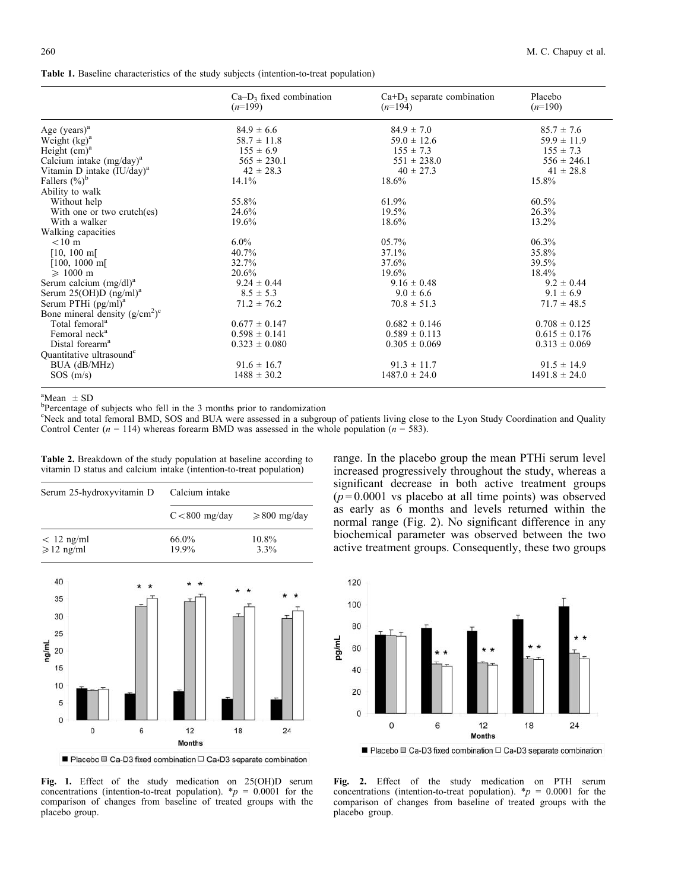Table 1. Baseline characteristics of the study subjects (intention-to-treat population)

|                                        | $Ca-D_3$ fixed combination<br>$(n=199)$ | $Ca+D_3$ separate combination<br>$(n=194)$ | Placebo<br>$(n=190)$ |
|----------------------------------------|-----------------------------------------|--------------------------------------------|----------------------|
| Age $(years)^a$                        | $84.9 \pm 6.6$                          | $84.9 \pm 7.0$                             | $85.7 \pm 7.6$       |
| Weight $(kg)^a$                        | $58.7 \pm 11.8$                         | $59.0 \pm 12.6$                            | $59.9 \pm 11.9$      |
| Height $(cm)a$                         | $155 \pm 6.9$                           | $155 \pm 7.3$                              | $155 \pm 7.3$        |
| Calcium intake $(mg/day)^a$            | $565 \pm 230.1$                         | $551 \pm 238.0$                            | $556 \pm 246.1$      |
| Vitamin D intake (IU/day) <sup>a</sup> | $42 \pm 28.3$                           | $40 \pm 27.3$                              | $41 \pm 28.8$        |
| Fallers $(\%)^b$                       | $14.1\%$                                | 18.6%                                      | 15.8%                |
| Ability to walk                        |                                         |                                            |                      |
| Without help                           | 55.8%                                   | 61.9%                                      | 60.5%                |
| With one or two crutch(es)             | 24.6%                                   | 19.5%                                      | 26.3%                |
| With a walker                          | 19.6%                                   | 18.6%                                      | 13.2%                |
| Walking capacities                     |                                         |                                            |                      |
| $< 10 \text{ m}$                       | $6.0\%$                                 | 05.7%                                      | 06.3%                |
| $[10, 100 \text{ m}]$                  | 40.7%                                   | 37.1%                                      | 35.8%                |
| $[100, 1000 \text{ m}]$                | 32.7%                                   | 37.6%                                      | 39.5%                |
| $\geqslant$ 1000 m                     | 20.6%                                   | 19.6%                                      | 18.4%                |
| Serum calcium $(mg/dl)^a$              | $9.24 \pm 0.44$                         | $9.16 \pm 0.48$                            | $9.2 \pm 0.44$       |
| Serum 25(OH)D $(ng/ml)^a$              | $8.5 \pm 5.3$                           | $9.0 \pm 6.6$                              | $9.1 \pm 6.9$        |
| Serum PTHi (pg/ml) <sup>a</sup>        | $71.2 \pm 76.2$                         | $70.8 \pm 51.3$                            | $71.7 \pm 48.5$      |
| Bone mineral density $(g/cm^2)^c$      |                                         |                                            |                      |
| Total femoral <sup>a</sup>             | $0.677 \pm 0.147$                       | $0.682 \pm 0.146$                          | $0.708 \pm 0.125$    |
| Femoral neck <sup>a</sup>              | $0.598 \pm 0.141$                       | $0.589 \pm 0.113$                          | $0.615 \pm 0.176$    |
| Distal forearm <sup>a</sup>            | $0.323 \pm 0.080$                       | $0.305 \pm 0.069$                          | $0.313 \pm 0.069$    |
| Quantitative ultrasound <sup>c</sup>   |                                         |                                            |                      |
| BUA (dB/MHz)                           | $91.6 \pm 16.7$                         | $91.3 \pm 11.7$                            | $91.5 \pm 14.9$      |
| SOS(m/s)                               | $1488 \pm 30.2$                         | $1487.0 \pm 24.0$                          | $1491.8 \pm 24.0$    |

 $^{\text{a}}$ Mean  $\pm$  SD

<sup>b</sup>Percentage of subjects who fell in the 3 months prior to randomization

c Neck and total femoral BMD, SOS and BUA were assessed in a subgroup of patients living close to the Lyon Study Coordination and Quality Control Center ( $n = 114$ ) whereas forearm BMD was assessed in the whole population ( $n = 583$ ).

| Serum 25-hydroxyvitamin D            | Calcium intake   |                   |  |  |  |
|--------------------------------------|------------------|-------------------|--|--|--|
|                                      | $C < 800$ mg/day | $\geq 800$ mg/day |  |  |  |
| $< 12$ ng/ml<br>$\geqslant$ 12 ng/ml | 66.0%<br>19.9%   | 10.8%<br>3.3%     |  |  |  |

range. In the placebo group the mean PTHi serum level increased progressively throughout the study, whereas a significant decrease in both active treatment groups  $(p=0.0001$  vs placebo at all time points) was observed as early as 6 months and levels returned within the normal range (Fig. 2). No significant difference in any biochemical parameter was observed between the two active treatment groups. Consequently, these two groups



■ Placebo □ Ca-D3 fixed combination □ Ca+D3 separate combination

Fig. 2. Effect of the study medication on PTH serum concentrations (intention-to-treat population).  ${}^*p = 0.0001$  for the comparison of changes from baseline of treated groups with the placebo group.

Table 2. Breakdown of the study population at baseline according to vitamin D status and calcium intake (intention-to-treat population)

|                          | $\overline{0}$ | 6 | 12<br><b>Months</b> | $18$               | 24           |
|--------------------------|----------------|---|---------------------|--------------------|--------------|
| $\circ$                  |                |   |                     |                    |              |
| $\overline{\phantom{a}}$ |                |   |                     |                    |              |
| 10                       |                |   |                     |                    |              |
| 15                       |                |   |                     |                    |              |
| ng/mL<br>20              |                |   |                     |                    |              |
| 25                       |                |   |                     |                    |              |
| $30\,$                   |                |   |                     |                    |              |
| 35                       |                |   |                     |                    | $\star$<br>* |
| 40                       |                | * | *                   | $\star$<br>$\star$ |              |

Placebo  $\Box$  Ca-D3 fixed combination  $\Box$  Ca+D3 separate combination

Fig. 1. Effect of the study medication on 25(OH)D serum concentrations (intention-to-treat population).  $\mathbf{\hat{p}} = 0.0001$  for the comparison of changes from baseline of treated groups with the placebo group.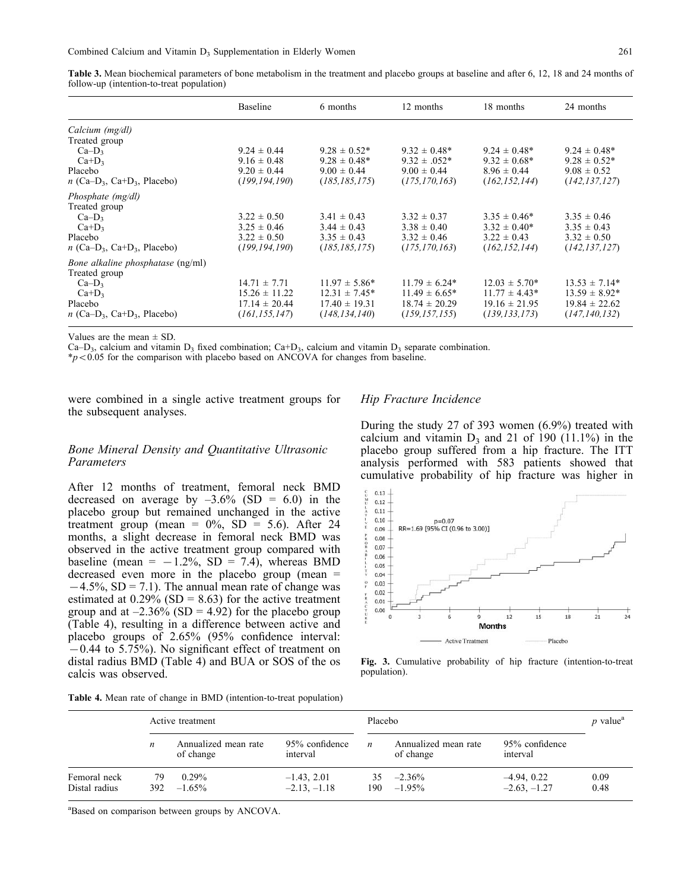Table 3. Mean biochemical parameters of bone metabolism in the treatment and placebo groups at baseline and after 6, 12, 18 and 24 months of follow-up (intention-to-treat population)

|                                                       | <b>Baseline</b>   | 6 months           | 12 months         | 18 months          | 24 months          |
|-------------------------------------------------------|-------------------|--------------------|-------------------|--------------------|--------------------|
| Calcium (mg/dl)                                       |                   |                    |                   |                    |                    |
| Treated group                                         |                   |                    |                   |                    |                    |
| $Ca-D3$                                               | $9.24 \pm 0.44$   | $9.28 \pm 0.52^*$  | $9.32 \pm 0.48^*$ | $9.24 \pm 0.48^*$  | $9.24 \pm 0.48^*$  |
| $Ca+D_3$                                              | $9.16 \pm 0.48$   | $9.28 \pm 0.48^*$  | $9.32 \pm .052^*$ | $9.32 \pm 0.68^*$  | $9.28 \pm 0.52^*$  |
| Placebo                                               | $9.20 \pm 0.44$   | $9.00 \pm 0.44$    | $9.00 \pm 0.44$   | $8.96 \pm 0.44$    | $9.08 \pm 0.52$    |
| $n$ (Ca–D <sub>3</sub> , Ca+D <sub>3</sub> , Placebo) | (199, 194, 190)   | (185, 185, 175)    | (175, 170, 163)   | (162, 152, 144)    | (142, 137, 127)    |
| Phosphate (mg/dl)                                     |                   |                    |                   |                    |                    |
| Treated group                                         |                   |                    |                   |                    |                    |
| $Ca-D3$                                               | $3.22 \pm 0.50$   | $3.41 \pm 0.43$    | $3.32 \pm 0.37$   | $3.35 \pm 0.46^*$  | $3.35 \pm 0.46$    |
| $Ca+D_3$                                              | $3.25 \pm 0.46$   | $3.44 \pm 0.43$    | $3.38 \pm 0.40$   | $3.32 \pm 0.40^*$  | $3.35 \pm 0.43$    |
| Placebo                                               | $3.22 \pm 0.50$   | $3.35 \pm 0.43$    | $3.32 \pm 0.46$   | $3.22 \pm 0.43$    | $3.32 \pm 0.50$    |
| $n$ (Ca–D <sub>3</sub> , Ca+D <sub>3</sub> , Placebo) | (199, 194, 190)   | (185, 185, 175)    | (175, 170, 163)   | (162, 152, 144)    | (142, 137, 127)    |
| <i>Bone alkaline phosphatase</i> (ng/ml)              |                   |                    |                   |                    |                    |
| Treated group                                         |                   |                    |                   |                    |                    |
| $Ca-D3$                                               | $14.71 \pm 7.71$  | $11.97 \pm 5.86*$  | $11.79 \pm 6.24*$ | $12.03 \pm 5.70^*$ | $13.53 \pm 7.14*$  |
| $Ca+D_3$                                              | $15.26 \pm 11.22$ | $12.31 \pm 7.45^*$ | $11.49 \pm 6.65*$ | $11.77 \pm 4.43*$  | $13.59 \pm 8.92^*$ |
| Placebo                                               | $17.14 \pm 20.44$ | $17.40 \pm 19.31$  | $18.74 \pm 20.29$ | $19.16 \pm 21.95$  | $19.84 \pm 22.62$  |
| $n$ (Ca–D <sub>3</sub> , Ca+D <sub>3</sub> , Placebo) | (161, 155, 147)   | (148, 134, 140)    | (159, 157, 155)   | (139, 133, 173)    | (147, 140, 132)    |

Values are the mean  $\pm$  SD.

Ca–D<sub>3</sub>, calcium and vitamin D<sub>3</sub> fixed combination; Ca+D<sub>3</sub>, calcium and vitamin D<sub>3</sub> separate combination.

 $\frac{p}{2}$  /P = 0.05 for the comparison with placebo based on ANCOVA for changes from baseline.

were combined in a single active treatment groups for the subsequent analyses.

#### Hip Fracture Incidence

#### Bone Mineral Density and Quantitative Ultrasonic Parameters

After 12 months of treatment, femoral neck BMD decreased on average by  $-3.6\%$  (SD = 6.0) in the placebo group but remained unchanged in the active treatment group (mean =  $0\%$ , SD = 5.6). After 24 months, a slight decrease in femoral neck BMD was observed in the active treatment group compared with baseline (mean =  $-1.2\%$ , SD = 7.4), whereas BMD decreased even more in the placebo group (mean =  $-4.5\%$ , SD = 7.1). The annual mean rate of change was estimated at  $0.29\%$  (SD = 8.63) for the active treatment group and at  $-2.36\%$  (SD = 4.92) for the placebo group (Table 4), resulting in a difference between active and placebo groups of 2.65% (95% confidence interval:  $-0.44$  to 5.75%). No significant effect of treatment on distal radius BMD (Table 4) and BUA or SOS of the os calcis was observed.

During the study 27 of 393 women (6.9%) treated with calcium and vitamin  $D_3$  and 21 of 190 (11.1%) in the placebo group suffered from a hip fracture. The ITT analysis performed with 583 patients showed that cumulative probability of hip fracture was higher in



Fig. 3. Cumulative probability of hip fracture (intention-to-treat population).

|  |  |  |  |  |  |  | Table 4. Mean rate of change in BMD (intention-to-treat population) |  |  |
|--|--|--|--|--|--|--|---------------------------------------------------------------------|--|--|
|--|--|--|--|--|--|--|---------------------------------------------------------------------|--|--|

|                               |            | Active treatment                  |                                 |                  | Placebo                           |                                 |              |  |
|-------------------------------|------------|-----------------------------------|---------------------------------|------------------|-----------------------------------|---------------------------------|--------------|--|
|                               | n          | Annualized mean rate<br>of change | 95% confidence<br>interval      | $\boldsymbol{n}$ | Annualized mean rate<br>of change | 95% confidence<br>interval      |              |  |
| Femoral neck<br>Distal radius | 79<br>392. | $0.29\%$<br>$-1.65\%$             | $-1.43, 2.01$<br>$-2.13, -1.18$ | 35.<br>190       | $-2.36\%$<br>$-1.95\%$            | $-4.94, 0.22$<br>$-2.63, -1.27$ | 0.09<br>0.48 |  |

<sup>a</sup>Based on comparison between groups by ANCOVA.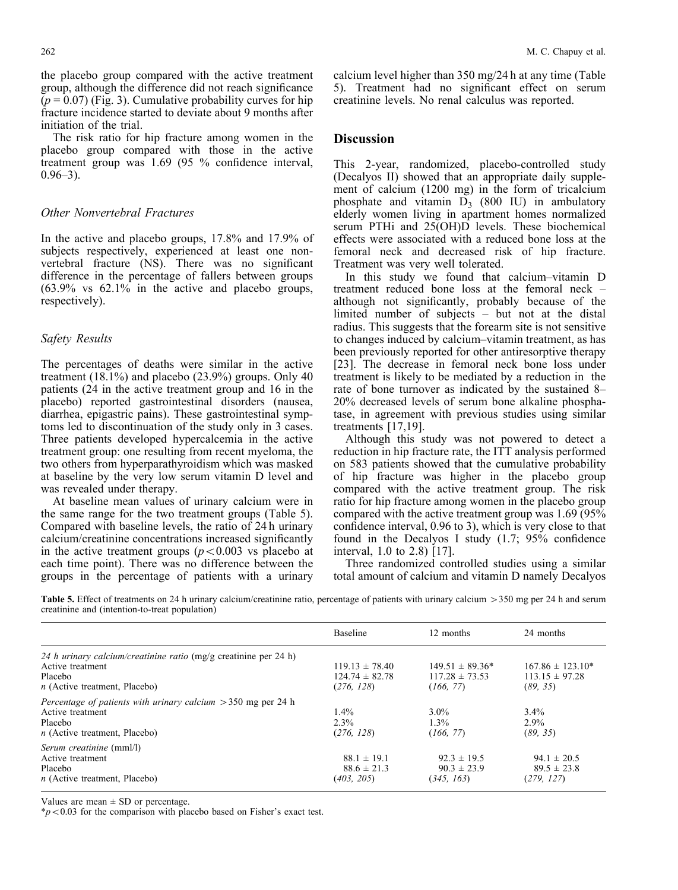The risk ratio for hip fracture among women in the placebo group compared with those in the active treatment group was 1.69 (95 % confidence interval,  $0.96 - 3$ ).

#### Other Nonvertebral Fractures

In the active and placebo groups, 17.8% and 17.9% of subjects respectively, experienced at least one nonvertebral fracture (NS). There was no significant difference in the percentage of fallers between groups (63.9% vs 62.1% in the active and placebo groups, respectively).

#### Safety Results

The percentages of deaths were similar in the active treatment  $(18.1\%)$  and placebo  $(23.9\%)$  groups. Only 40 patients (24 in the active treatment group and 16 in the placebo) reported gastrointestinal disorders (nausea, diarrhea, epigastric pains). These gastrointestinal symptoms led to discontinuation of the study only in 3 cases. Three patients developed hypercalcemia in the active treatment group: one resulting from recent myeloma, the two others from hyperparathyroidism which was masked at baseline by the very low serum vitamin D level and was revealed under therapy.

At baseline mean values of urinary calcium were in the same range for the two treatment groups (Table 5). Compared with baseline levels, the ratio of 24 h urinary calcium/creatinine concentrations increased significantly in the active treatment groups  $(p<0.003$  vs placebo at each time point). There was no difference between the groups in the percentage of patients with a urinary

calcium level higher than 350 mg/24 h at any time (Table 5). Treatment had no significant effect on serum creatinine levels. No renal calculus was reported.

### Discussion

This 2-year, randomized, placebo-controlled study (Decalyos II) showed that an appropriate daily supplement of calcium (1200 mg) in the form of tricalcium phosphate and vitamin  $D_3$  (800 IU) in ambulatory elderly women living in apartment homes normalized serum PTHi and 25(OH)D levels. These biochemical effects were associated with a reduced bone loss at the femoral neck and decreased risk of hip fracture. Treatment was very well tolerated.

In this study we found that calcium–vitamin D treatment reduced bone loss at the femoral neck – although not significantly, probably because of the limited number of subjects – but not at the distal radius. This suggests that the forearm site is not sensitive to changes induced by calcium–vitamin treatment, as has been previously reported for other antiresorptive therapy [23]. The decrease in femoral neck bone loss under treatment is likely to be mediated by a reduction in the rate of bone turnover as indicated by the sustained 8– 20% decreased levels of serum bone alkaline phosphatase, in agreement with previous studies using similar treatments [17,19].

Although this study was not powered to detect a reduction in hip fracture rate, the ITT analysis performed on 583 patients showed that the cumulative probability of hip fracture was higher in the placebo group compared with the active treatment group. The risk ratio for hip fracture among women in the placebo group compared with the active treatment group was 1.69 (95% confidence interval, 0.96 to 3), which is very close to that found in the Decalyos I study (1.7; 95% confidence interval, 1.0 to 2.8) [17].

Three randomized controlled studies using a similar total amount of calcium and vitamin D namely Decalyos

Table 5. Effect of treatments on 24 h urinary calcium/creatinine ratio, percentage of patients with urinary calcium > 350 mg per 24 h and serum creatinine and (intention-to-treat population)

|                                                                                                                                    | <b>Baseline</b>                                        | 12 months                                              | 24 months                                              |
|------------------------------------------------------------------------------------------------------------------------------------|--------------------------------------------------------|--------------------------------------------------------|--------------------------------------------------------|
| 24 h urinary calcium/creatinine ratio (mg/g creatinine per 24 h)<br>Active treatment<br>Placebo<br>$n$ (Active treatment, Placebo) | $119.13 \pm 78.40$<br>$124.74 \pm 82.78$<br>(276, 128) | $149.51 \pm 89.36*$<br>$117.28 \pm 73.53$<br>(166, 77) | $167.86 \pm 123.10*$<br>$113.15 \pm 97.28$<br>(89, 35) |
| Percentage of patients with urinary calcium $>$ 350 mg per 24 h<br>Active treatment<br>Placebo<br>$n$ (Active treatment, Placebo)  | $1.4\%$<br>$2.3\%$<br>(276, 128)                       | $3.0\%$<br>$1.3\%$<br>(166, 77)                        | $3.4\%$<br>$2.9\%$<br>(89, 35)                         |
| Serum creatinine (mml/l)<br>Active treatment<br>Placebo<br>$n$ (Active treatment, Placebo)                                         | $88.1 \pm 19.1$<br>$88.6 \pm 21.3$<br>(403, 205)       | $92.3 \pm 19.5$<br>$90.3 \pm 23.9$<br>(345, 163)       | $94.1 \pm 20.5$<br>$89.5 \pm 23.8$<br>(279, 127)       |

Values are mean  $\pm$  SD or percentage.

 $*p<0.03$  for the comparison with placebo based on Fisher's exact test.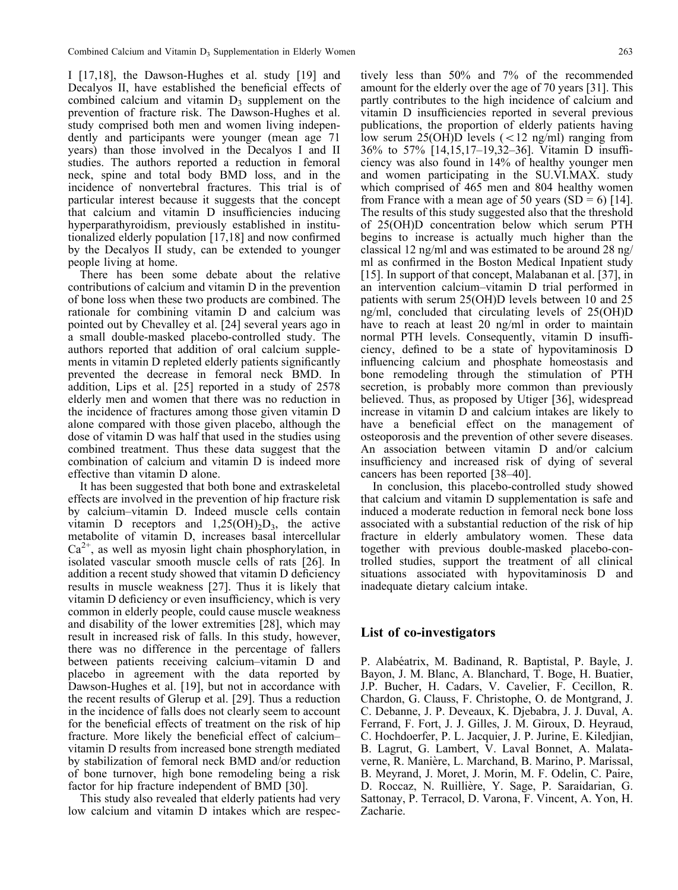I [17,18], the Dawson-Hughes et al. study [19] and Decalyos II, have established the beneficial effects of combined calcium and vitamin  $D_3$  supplement on the prevention of fracture risk. The Dawson-Hughes et al. study comprised both men and women living independently and participants were younger (mean age 71 years) than those involved in the Decalyos I and II studies. The authors reported a reduction in femoral neck, spine and total body BMD loss, and in the incidence of nonvertebral fractures. This trial is of particular interest because it suggests that the concept that calcium and vitamin D insufficiencies inducing hyperparathyroidism, previously established in institutionalized elderly population [17,18] and now confirmed by the Decalyos II study, can be extended to younger people living at home.

There has been some debate about the relative contributions of calcium and vitamin D in the prevention of bone loss when these two products are combined. The rationale for combining vitamin D and calcium was pointed out by Chevalley et al. [24] several years ago in a small double-masked placebo-controlled study. The authors reported that addition of oral calcium supplements in vitamin D repleted elderly patients significantly prevented the decrease in femoral neck BMD. In addition, Lips et al. [25] reported in a study of 2578 elderly men and women that there was no reduction in the incidence of fractures among those given vitamin D alone compared with those given placebo, although the dose of vitamin D was half that used in the studies using combined treatment. Thus these data suggest that the combination of calcium and vitamin D is indeed more effective than vitamin D alone.

It has been suggested that both bone and extraskeletal effects are involved in the prevention of hip fracture risk by calcium–vitamin D. Indeed muscle cells contain vitamin D receptors and  $1,25(OH)_{2}D_{3}$ , the active metabolite of vitamin D, increases basal intercellular  $Ca<sup>2+</sup>$ , as well as myosin light chain phosphorylation, in isolated vascular smooth muscle cells of rats [26]. In addition a recent study showed that vitamin D deficiency results in muscle weakness [27]. Thus it is likely that vitamin D deficiency or even insufficiency, which is very common in elderly people, could cause muscle weakness and disability of the lower extremities [28], which may result in increased risk of falls. In this study, however, there was no difference in the percentage of fallers between patients receiving calcium–vitamin D and placebo in agreement with the data reported by Dawson-Hughes et al. [19], but not in accordance with the recent results of Glerup et al. [29]. Thus a reduction in the incidence of falls does not clearly seem to account for the beneficial effects of treatment on the risk of hip fracture. More likely the beneficial effect of calcium– vitamin D results from increased bone strength mediated by stabilization of femoral neck BMD and/or reduction of bone turnover, high bone remodeling being a risk factor for hip fracture independent of BMD [30].

This study also revealed that elderly patients had very low calcium and vitamin D intakes which are respec-

tively less than 50% and 7% of the recommended amount for the elderly over the age of 70 years [31]. This partly contributes to the high incidence of calcium and vitamin D insufficiencies reported in several previous publications, the proportion of elderly patients having low serum 25(OH)D levels  $(< 12$  ng/ml) ranging from 36% to 57% [14,15,17–19,32–36]. Vitamin D insufficiency was also found in 14% of healthy younger men and women participating in the SU.VI.MAX. study which comprised of 465 men and 804 healthy women from France with a mean age of 50 years  $(SD = 6)$  [14]. The results of this study suggested also that the threshold of 25(OH)D concentration below which serum PTH begins to increase is actually much higher than the classical 12 ng/ml and was estimated to be around 28 ng/ ml as confirmed in the Boston Medical Inpatient study [15]. In support of that concept, Malabanan et al. [37], in an intervention calcium–vitamin D trial performed in patients with serum 25(OH)D levels between 10 and 25 ng/ml, concluded that circulating levels of 25(OH)D have to reach at least 20 ng/ml in order to maintain normal PTH levels. Consequently, vitamin D insufficiency, defined to be a state of hypovitaminosis D influencing calcium and phosphate homeostasis and bone remodeling through the stimulation of PTH secretion, is probably more common than previously believed. Thus, as proposed by Utiger [36], widespread increase in vitamin D and calcium intakes are likely to have a beneficial effect on the management of osteoporosis and the prevention of other severe diseases. An association between vitamin D and/or calcium insufficiency and increased risk of dying of several cancers has been reported [38–40].

In conclusion, this placebo-controlled study showed that calcium and vitamin D supplementation is safe and induced a moderate reduction in femoral neck bone loss associated with a substantial reduction of the risk of hip fracture in elderly ambulatory women. These data together with previous double-masked placebo-controlled studies, support the treatment of all clinical situations associated with hypovitaminosis D and inadequate dietary calcium intake.

#### List of co-investigators

P. Alabéatrix, M. Badinand, R. Baptistal, P. Bayle, J. Bayon, J. M. Blanc, A. Blanchard, T. Boge, H. Buatier, J.P. Bucher, H. Cadars, V. Cavelier, F. Cecillon, R. Chardon, G. Clauss, F. Christophe, O. de Montgrand, J. C. Debanne, J. P. Deveaux, K. Djebabra, J. J. Duval, A. Ferrand, F. Fort, J. J. Gilles, J. M. Giroux, D. Heyraud, C. Hochdoerfer, P. L. Jacquier, J. P. Jurine, E. Kiledjian, B. Lagrut, G. Lambert, V. Laval Bonnet, A. Malataverne, R. Manière, L. Marchand, B. Marino, P. Marissal, B. Meyrand, J. Moret, J. Morin, M. F. Odelin, C. Paire, D. Roccaz, N. Ruillière, Y. Sage, P. Saraidarian, G. Sattonay, P. Terracol, D. Varona, F. Vincent, A. Yon, H. Zacharie.